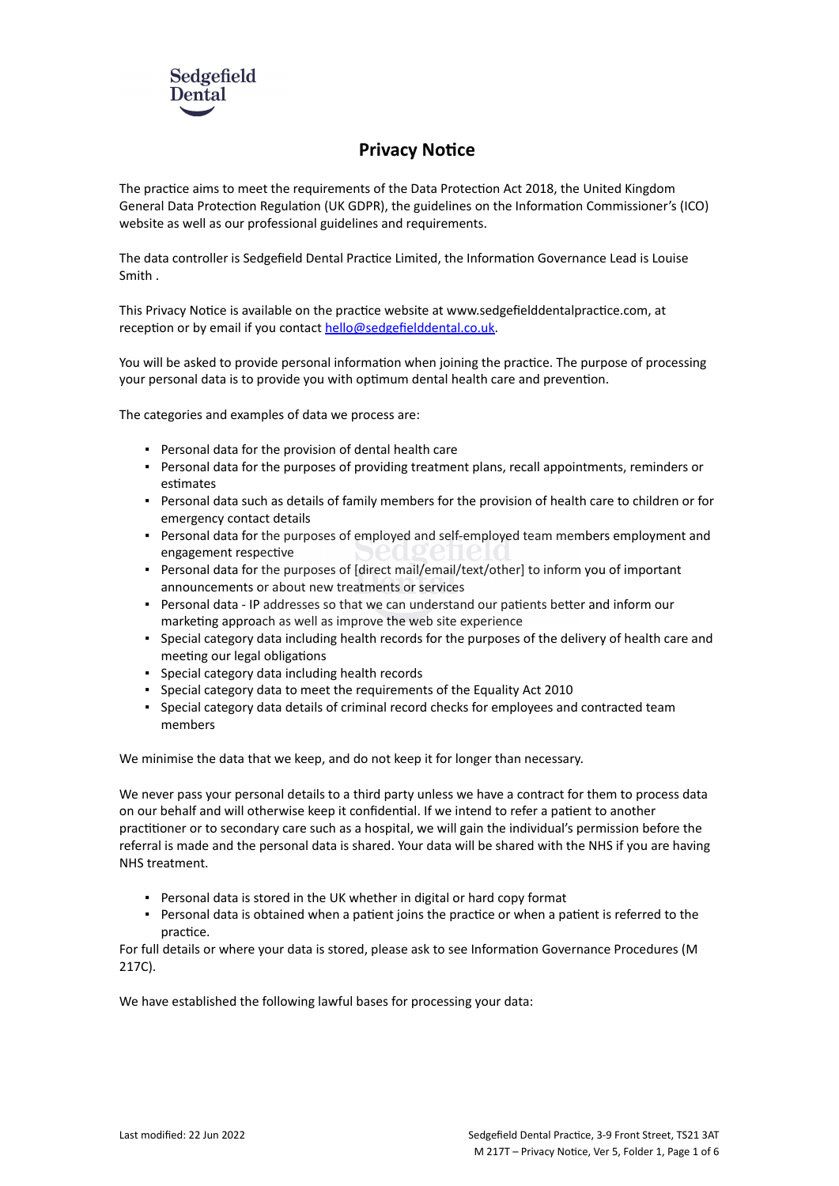

# **Privacy Notice**

The practice aims to meet the requirements of the Data Protection Act 2018, the United Kingdom General Data Protection Regulation (UK GDPR), the guidelines on the Information Commissioner's (ICO) website as well as our professional guidelines and requirements.

The data controller is Sedgefield Dental Practice Limited, the Information Governance Lead is Louise Smith .

This Privacy Notice is available on the practice website at www.sedgefielddentalpractice.com, at reception or by email if you contact [hello@sedgefielddental.co.uk](mailto:info@practice.com).

You will be asked to provide personal information when joining the practice. The purpose of processing your personal data is to provide you with optimum dental health care and prevention.

The categories and examples of data we process are:

- Personal data for the provision of dental health care
- Personal data for the purposes of providing treatment plans, recall appointments, reminders or estimates
- Personal data such as details of family members for the provision of health care to children or for emergency contact details
- **Personal data for the purposes of employed and self-employed team members employment and** engagement respective
- Personal data for the purposes of [direct mail/email/text/other] to inform you of important announcements or about new treatments or services
- Personal data IP addresses so that we can understand our patients better and inform our marketing approach as well as improve the web site experience
- Special category data including health records for the purposes of the delivery of health care and meeting our legal obligations
- Special category data including health records
- Special category data to meet the requirements of the Equality Act 2010
- Special category data details of criminal record checks for employees and contracted team members

We minimise the data that we keep, and do not keep it for longer than necessary.

We never pass your personal details to a third party unless we have a contract for them to process data on our behalf and will otherwise keep it confidential. If we intend to refer a patient to another practitioner or to secondary care such as a hospital, we will gain the individual's permission before the referral is made and the personal data is shared. Your data will be shared with the NHS if you are having NHS treatment.

- Personal data is stored in the UK whether in digital or hard copy format
- Personal data is obtained when a patient joins the practice or when a patient is referred to the practice.

For full details or where your data is stored, please ask to see Information Governance Procedures (M 217C).

We have established the following lawful bases for processing your data: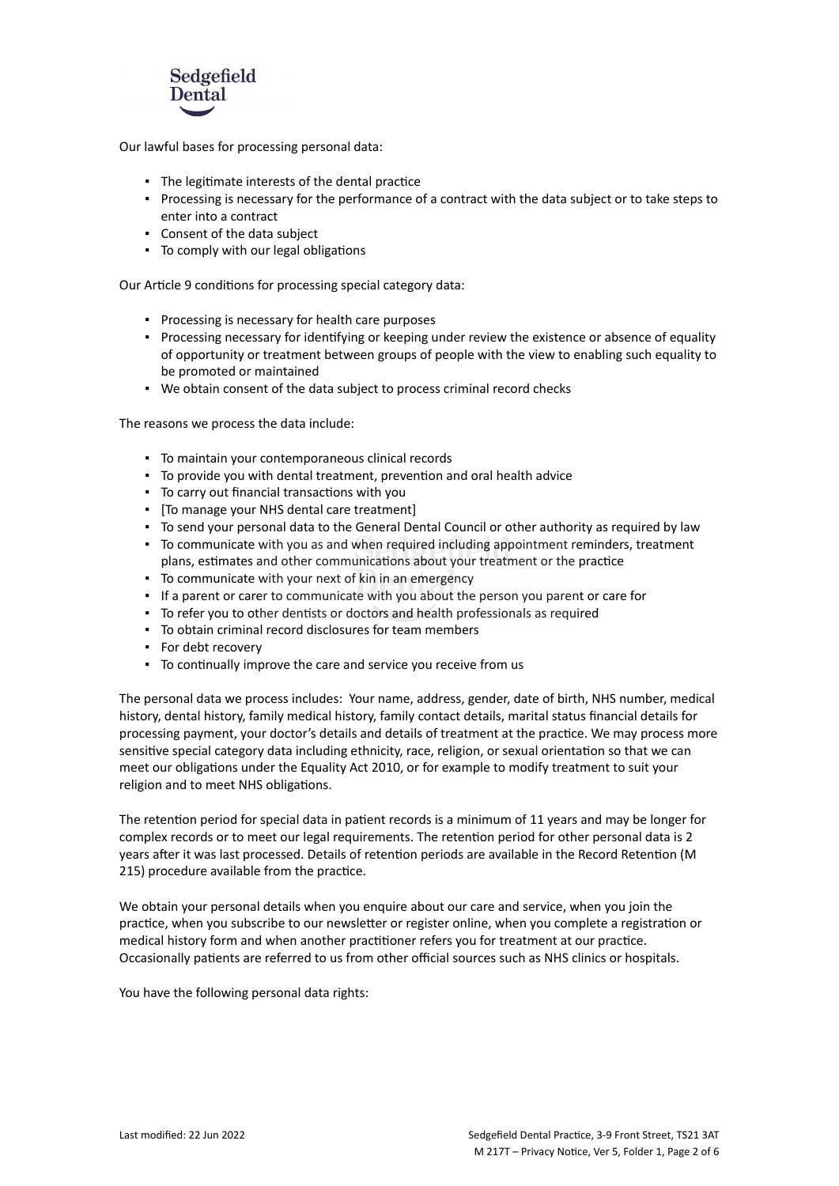

Our lawful bases for processing personal data:

- The legitimate interests of the dental practice
- Processing is necessary for the performance of a contract with the data subject or to take steps to enter into a contract
- Consent of the data subject
- To comply with our legal obligations

Our Article 9 conditions for processing special category data:

- Processing is necessary for health care purposes
- Processing necessary for identifying or keeping under review the existence or absence of equality of opportunity or treatment between groups of people with the view to enabling such equality to be promoted or maintained
- We obtain consent of the data subject to process criminal record checks

The reasons we process the data include:

- To maintain your contemporaneous clinical records
- To provide you with dental treatment, prevention and oral health advice
- To carry out financial transactions with you
- [To manage your NHS dental care treatment]
- To send your personal data to the General Dental Council or other authority as required by law
- To communicate with you as and when required including appointment reminders, treatment plans, estimates and other communications about your treatment or the practice
- To communicate with your next of kin in an emergency
- If a parent or carer to communicate with you about the person you parent or care for
- To refer you to other dentists or doctors and health professionals as required
- To obtain criminal record disclosures for team members
- For debt recovery
- To continually improve the care and service you receive from us

The personal data we process includes: Your name, address, gender, date of birth, NHS number, medical history, dental history, family medical history, family contact details, marital status financial details for processing payment, your doctor's details and details of treatment at the practice. We may process more sensitive special category data including ethnicity, race, religion, or sexual orientation so that we can meet our obligations under the Equality Act 2010, or for example to modify treatment to suit your religion and to meet NHS obligations.

The retention period for special data in patient records is a minimum of 11 years and may be longer for complex records or to meet our legal requirements. The retention period for other personal data is 2 years after it was last processed. Details of retention periods are available in the Record Retention (M 215) procedure available from the practice.

We obtain your personal details when you enquire about our care and service, when you join the practice, when you subscribe to our newsletter or register online, when you complete a registration or medical history form and when another practitioner refers you for treatment at our practice. Occasionally patients are referred to us from other official sources such as NHS clinics or hospitals.

You have the following personal data rights: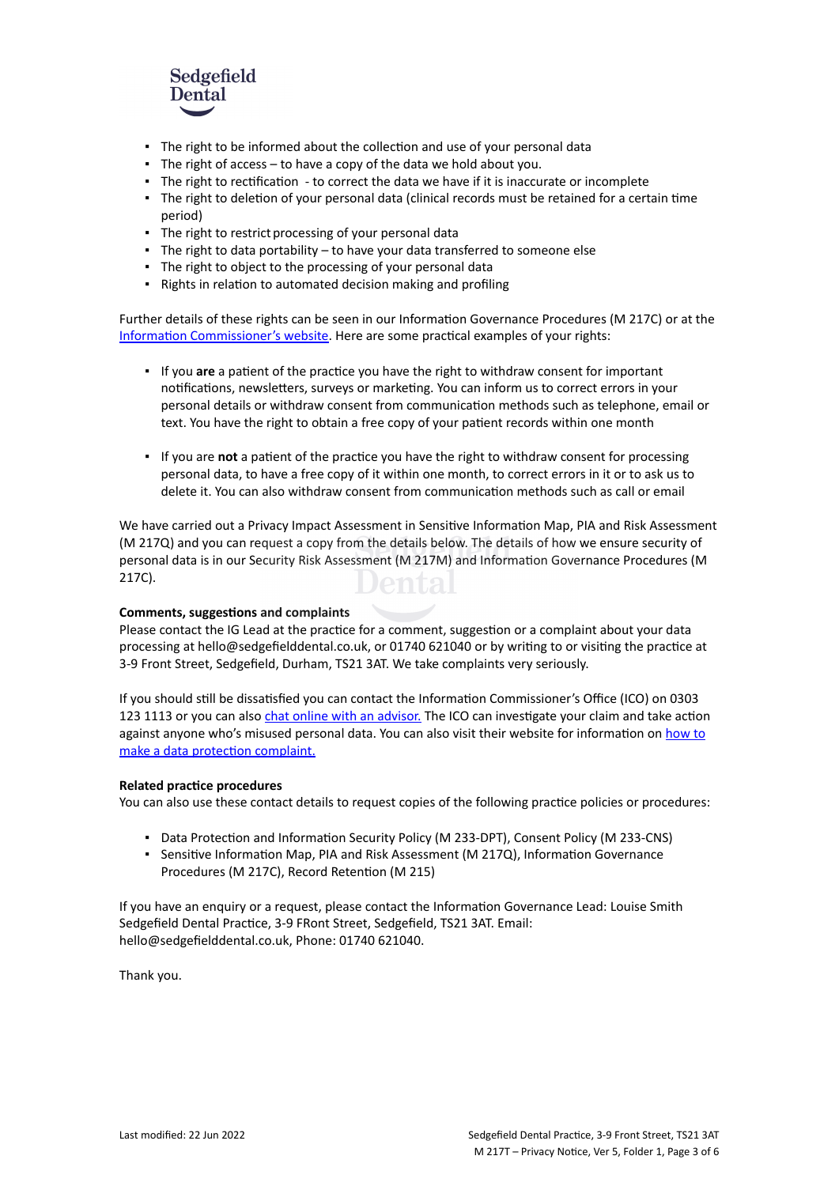

- The right to be informed about the collection and use of your personal data
- $\blacksquare$  The right of access to have a copy of the data we hold about you.
- The right to rectification to correct the data we have if it is inaccurate or incomplete
- The right to deletion of your personal data (clinical records must be retained for a certain time period)
- The right to restrict processing of your personal data
- The right to data portability to have your data transferred to someone else
- The right to object to the processing of your personal data
- Rights in relation to automated decision making and profiling

Further details of these rights can be seen in our Information Governance Procedures (M 217C) or at the [Information Commissioner's website](https://ico.org.uk/for-organisations/guide-to-the-general-data-protection-regulation-gdpr/individual-rights/). Here are some practical examples of your rights:

- If you **are** a patient of the practice you have the right to withdraw consent for important notifications, newsletters, surveys or marketing. You can inform us to correct errors in your personal details or withdraw consent from communication methods such as telephone, email or text. You have the right to obtain a free copy of your patient records within one month
- If you are **not** a patient of the practice you have the right to withdraw consent for processing personal data, to have a free copy of it within one month, to correct errors in it or to ask us to delete it. You can also withdraw consent from communication methods such as call or email

We have carried out a Privacy Impact Assessment in Sensitive Information Map, PIA and Risk Assessment (M 217Q) and you can request a copy from the details below. The details of how we ensure security of personal data is in our Security Risk Assessment (M 217M) and Information Governance Procedures (M 217C). Jental

#### **Comments, suggestions and complaints**

Please contact the IG Lead at the practice for a comment, suggestion or a complaint about your data processing at hello@sedgefielddental.co.uk, or 01740 621040 or by writing to or visiting the practice at 3-9 Front Street, Sedgefield, Durham, TS21 3AT. We take complaints very seriously.

If you should still be dissatisfied you can contact the Information Commissioner's Office (ICO) on 0303 123 1113 or you can also [chat online with an advisor.](https://ico.org.uk/global/contact-us/live-chat/) The ICO can investigate your claim and take action against anyone who's misused personal data. You can also visit their website for information on [how to](http://www.ico.org.uk/complaints) [make a data protection complaint.](http://www.ico.org.uk/complaints)

#### **Related practice procedures**

You can also use these contact details to request copies of the following practice policies or procedures:

- Data Protection and Information Security Policy (M 233-DPT), Consent Policy (M 233-CNS)
- Sensitive Information Map, PIA and Risk Assessment (M 217Q), Information Governance Procedures (M 217C), Record Retention (M 215)

If you have an enquiry or a request, please contact the Information Governance Lead: Louise Smith Sedgefield Dental Practice, 3-9 FRont Street, Sedgefield, TS21 3AT. Email: hello@sedgefielddental.co.uk, Phone: 01740 621040.

Thank you.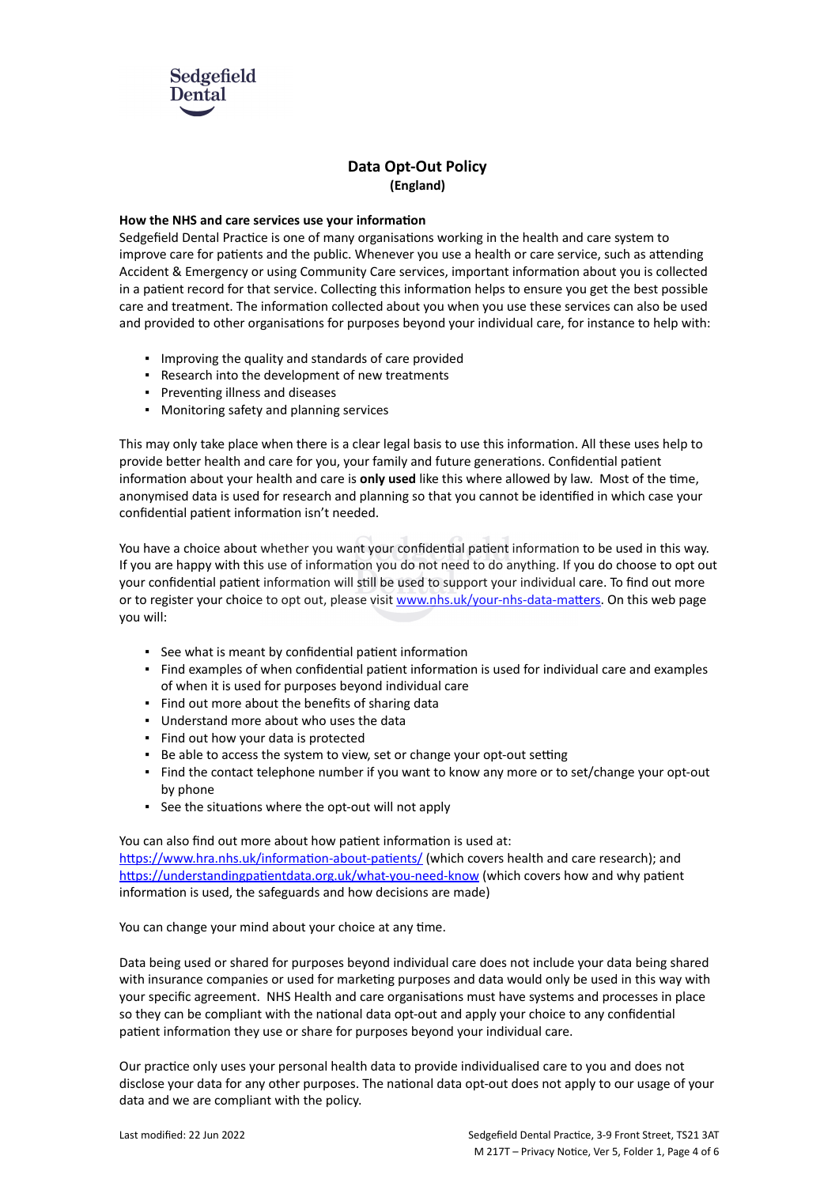

## **Data Opt-Out Policy (England)**

## **How the NHS and care services use your information**

Sedgefield Dental Practice is one of many organisations working in the health and care system to improve care for patients and the public. Whenever you use a health or care service, such as attending Accident & Emergency or using Community Care services, important information about you is collected in a patient record for that service. Collecting this information helps to ensure you get the best possible care and treatment. The information collected about you when you use these services can also be used and provided to other organisations for purposes beyond your individual care, for instance to help with:

- Improving the quality and standards of care provided
- Research into the development of new treatments
- Preventing illness and diseases
- Monitoring safety and planning services

This may only take place when there is a clear legal basis to use this information. All these uses help to provide better health and care for you, your family and future generations. Confidential patient information about your health and care is **only used** like this where allowed by law. Most of the time, anonymised data is used for research and planning so that you cannot be identified in which case your confidential patient information isn't needed.

You have a choice about whether you want your confidential patient information to be used in this way. If you are happy with this use of information you do not need to do anything. If you do choose to opt out your confidential patient information will still be used to support your individual care. To find out more or to register your choice to opt out, please visit [www.nhs.uk/your-nhs-data-matters](http://www.nhs.uk/your-nhs-data-matters). On this web page you will:

- See what is meant by confidential patient information
- Find examples of when confidential patient information is used for individual care and examples of when it is used for purposes beyond individual care
- Find out more about the benefits of sharing data
- Understand more about who uses the data
- Find out how your data is protected
- Be able to access the system to view, set or change your opt-out setting
- Find the contact telephone number if you want to know any more or to set/change your opt-out by phone
- See the situations where the opt-out will not apply

You can also find out more about how patient information is used at: [https://www.hra.nhs.uk/information-about-patients/](https://www.hra.nhs.uk/information-about-patients/%20) (which covers health and care research); and <https://understandingpatientdata.org.uk/what-you-need-know> (which covers how and why patient information is used, the safeguards and how decisions are made)

You can change your mind about your choice at any time.

Data being used or shared for purposes beyond individual care does not include your data being shared with insurance companies or used for marketing purposes and data would only be used in this way with your specific agreement. NHS Health and care organisations must have systems and processes in place so they can be compliant with the national data opt-out and apply your choice to any confidential patient information they use or share for purposes beyond your individual care.

Our practice only uses your personal health data to provide individualised care to you and does not disclose your data for any other purposes. The national data opt-out does not apply to our usage of your data and we are compliant with the policy.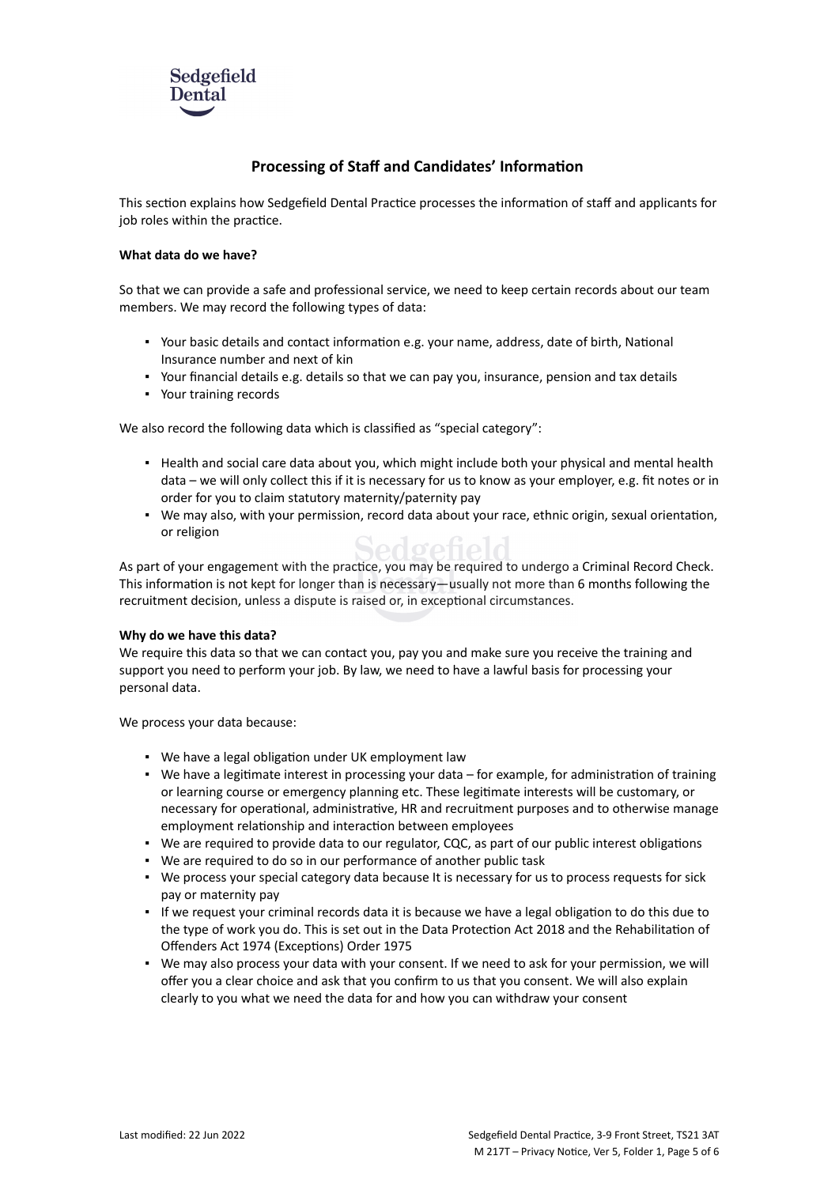

## **Processing of Staff and Candidates' Information**

This section explains how Sedgefield Dental Practice processes the information of staff and applicants for job roles within the practice.

## **What data do we have?**

So that we can provide a safe and professional service, we need to keep certain records about our team members. We may record the following types of data:

- Your basic details and contact information e.g. your name, address, date of birth, National Insurance number and next of kin
- Your financial details e.g. details so that we can pay you, insurance, pension and tax details
- Your training records

We also record the following data which is classified as "special category":

- Health and social care data about you, which might include both your physical and mental health data – we will only collect this if it is necessary for us to know as your employer, e.g. fit notes or in order for you to claim statutory maternity/paternity pay
- We may also, with your permission, record data about your race, ethnic origin, sexual orientation, or religion Sedretield

As part of your engagement with the practice, you may be required to undergo a Criminal Record Check. This information is not kept for longer than is necessary—usually not more than 6 months following the recruitment decision, unless a dispute is raised or, in exceptional circumstances.

#### **Why do we have this data?**

We require this data so that we can contact you, pay you and make sure you receive the training and support you need to perform your job. By law, we need to have a lawful basis for processing your personal data.

We process your data because:

- We have a legal obligation under UK employment law
- We have a legitimate interest in processing your data for example, for administration of training or learning course or emergency planning etc. These legitimate interests will be customary, or necessary for operational, administrative, HR and recruitment purposes and to otherwise manage employment relationship and interaction between employees
- We are required to provide data to our regulator, CQC, as part of our public interest obligations
- We are required to do so in our performance of another public task
- We process your special category data because It is necessary for us to process requests for sick pay or maternity pay
- If we request your criminal records data it is because we have a legal obligation to do this due to the type of work you do. This is set out in the Data Protection Act 2018 and the Rehabilitation of Offenders Act 1974 (Exceptions) Order 1975
- . We may also process your data with your consent. If we need to ask for your permission, we will offer you a clear choice and ask that you confirm to us that you consent. We will also explain clearly to you what we need the data for and how you can withdraw your consent